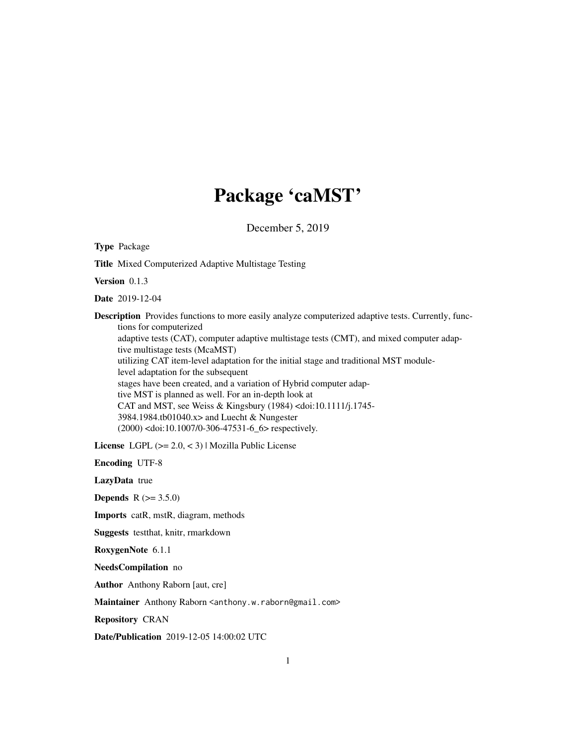# Package 'caMST'

December 5, 2019

Type Package Title Mixed Computerized Adaptive Multistage Testing Version 0.1.3 Date 2019-12-04 Description Provides functions to more easily analyze computerized adaptive tests. Currently, functions for computerized adaptive tests (CAT), computer adaptive multistage tests (CMT), and mixed computer adaptive multistage tests (McaMST) utilizing CAT item-level adaptation for the initial stage and traditional MST modulelevel adaptation for the subsequent stages have been created, and a variation of Hybrid computer adaptive MST is planned as well. For an in-depth look at CAT and MST, see Weiss & Kingsbury (1984) <doi:10.1111/j.1745- 3984.1984.tb01040.x> and Luecht & Nungester (2000) <doi:10.1007/0-306-47531-6\_6> respectively. License LGPL (>= 2.0, < 3) | Mozilla Public License Encoding UTF-8 LazyData true **Depends**  $R (= 3.5.0)$ Imports catR, mstR, diagram, methods Suggests testthat, knitr, rmarkdown RoxygenNote 6.1.1

NeedsCompilation no

Author Anthony Raborn [aut, cre]

Maintainer Anthony Raborn <anthony.w.raborn@gmail.com>

Repository CRAN

Date/Publication 2019-12-05 14:00:02 UTC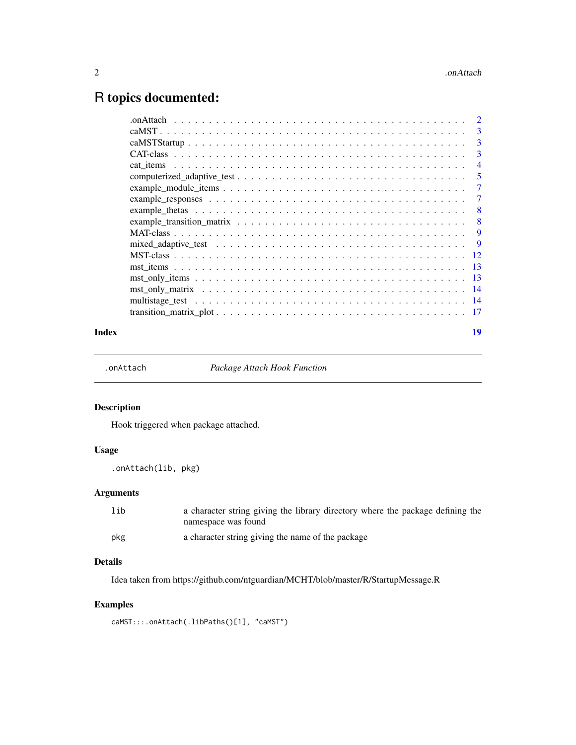## <span id="page-1-0"></span>R topics documented:

| 3              |
|----------------|
| 3              |
| 3              |
| $\overline{4}$ |
| 5              |
| 7              |
| 7              |
| 8              |
| 8              |
| 9              |
| -9             |
| -12            |
| -13            |
| -13            |
| -14            |
|                |
|                |
|                |

## **Index** 2008 **Index** 2008 **Index**

.onAttach *Package Attach Hook Function*

## Description

Hook triggered when package attached.

## Usage

.onAttach(lib, pkg)

## Arguments

| lib | a character string giving the library directory where the package defining the<br>namespace was found |
|-----|-------------------------------------------------------------------------------------------------------|
| pkg | a character string giving the name of the package                                                     |

## Details

Idea taken from https://github.com/ntguardian/MCHT/blob/master/R/StartupMessage.R

## Examples

caMST:::.onAttach(.libPaths()[1], "caMST")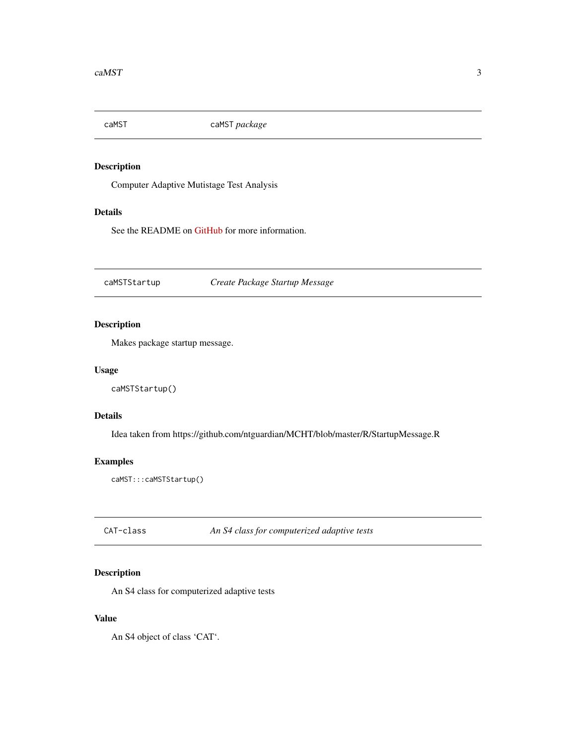<span id="page-2-0"></span>

Computer Adaptive Mutistage Test Analysis

## Details

See the README on [GitHub](https://github.com/AnthonyRaborn/caMST#readme) for more information.

caMSTStartup *Create Package Startup Message*

## Description

Makes package startup message.

#### Usage

caMSTStartup()

## Details

Idea taken from https://github.com/ntguardian/MCHT/blob/master/R/StartupMessage.R

## Examples

caMST:::caMSTStartup()

CAT-class *An S4 class for computerized adaptive tests*

## Description

An S4 class for computerized adaptive tests

#### Value

An S4 object of class 'CAT'.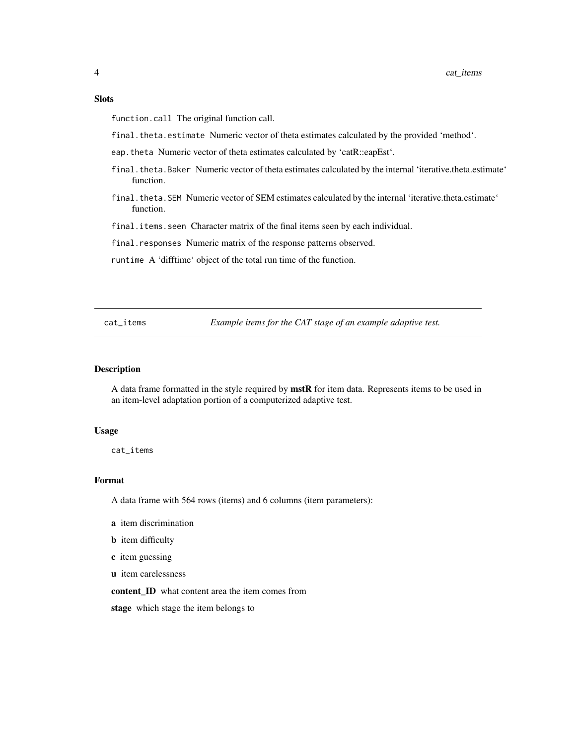## <span id="page-3-0"></span>**Slots**

function.call The original function call.

final.theta.estimate Numeric vector of theta estimates calculated by the provided 'method'.

- eap.theta Numeric vector of theta estimates calculated by 'catR::eapEst'.
- final.theta.Baker Numeric vector of theta estimates calculated by the internal 'iterative.theta.estimate' function.
- final.theta.SEM Numeric vector of SEM estimates calculated by the internal 'iterative.theta.estimate' function.

final.items.seen Character matrix of the final items seen by each individual.

final.responses Numeric matrix of the response patterns observed.

runtime A 'difftime' object of the total run time of the function.

cat\_items *Example items for the CAT stage of an example adaptive test.*

#### **Description**

A data frame formatted in the style required by mstR for item data. Represents items to be used in an item-level adaptation portion of a computerized adaptive test.

#### Usage

cat\_items

## Format

A data frame with 564 rows (items) and 6 columns (item parameters):

- a item discrimination
- **b** item difficulty
- c item guessing
- u item carelessness

content ID what content area the item comes from

stage which stage the item belongs to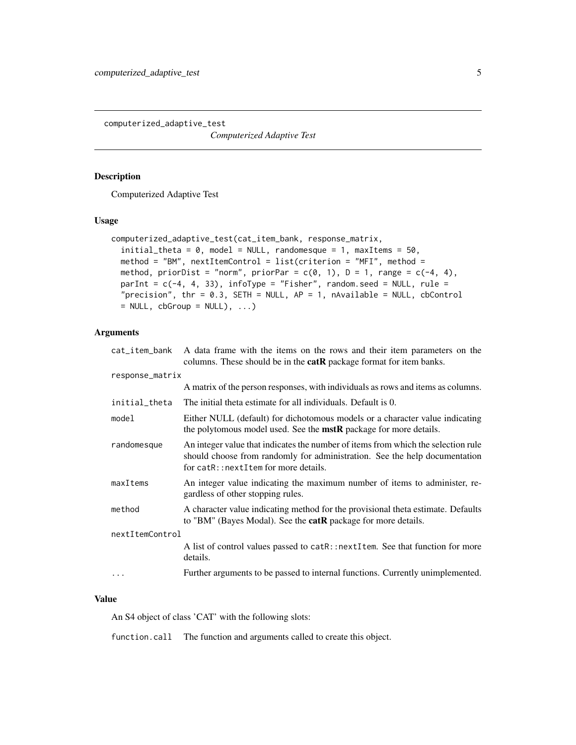<span id="page-4-0"></span>computerized\_adaptive\_test

*Computerized Adaptive Test*

## Description

Computerized Adaptive Test

#### Usage

```
computerized_adaptive_test(cat_item_bank, response_matrix,
  initial_{\text{theta}} = 0, model = NULL, randomesque = 1, maxItems = 50,
  method = "BM", nextItemControl = list(criterion = "MFI", method =
 method, priorDist = "norm", priorPar = c(0, 1), D = 1, range = c(-4, 4),
  parInt = c(-4, 4, 33), infoType = "Fisher", random.seed = NULL, rule =
  "precision", thr = 0.3, SETH = NULL, AP = 1, nAvailable = NULL, cbControl
 = NULL, cbGroup = NULL), ...)
```
## Arguments

| cat_item_bank   | A data frame with the items on the rows and their item parameters on the<br>columns. These should be in the <b>catR</b> package format for item banks.                                                  |
|-----------------|---------------------------------------------------------------------------------------------------------------------------------------------------------------------------------------------------------|
| response_matrix |                                                                                                                                                                                                         |
|                 | A matrix of the person responses, with individuals as rows and items as columns.                                                                                                                        |
| initial_theta   | The initial theta estimate for all individuals. Default is 0.                                                                                                                                           |
| model           | Either NULL (default) for dichotomous models or a character value indicating<br>the polytomous model used. See the <b>mstR</b> package for more details.                                                |
| randomesque     | An integer value that indicates the number of items from which the selection rule<br>should choose from randomly for administration. See the help documentation<br>for catR::nextItem for more details. |
| maxItems        | An integer value indicating the maximum number of items to administer, re-<br>gardless of other stopping rules.                                                                                         |
| method          | A character value indicating method for the provisional theta estimate. Defaults<br>to "BM" (Bayes Modal). See the <b>catR</b> package for more details.                                                |
| nextItemControl |                                                                                                                                                                                                         |
|                 | A list of control values passed to catR::nextItem. See that function for more<br>details.                                                                                                               |
|                 | Further arguments to be passed to internal functions. Currently unimplemented.                                                                                                                          |
|                 |                                                                                                                                                                                                         |

## Value

An S4 object of class 'CAT' with the following slots:

function.call The function and arguments called to create this object.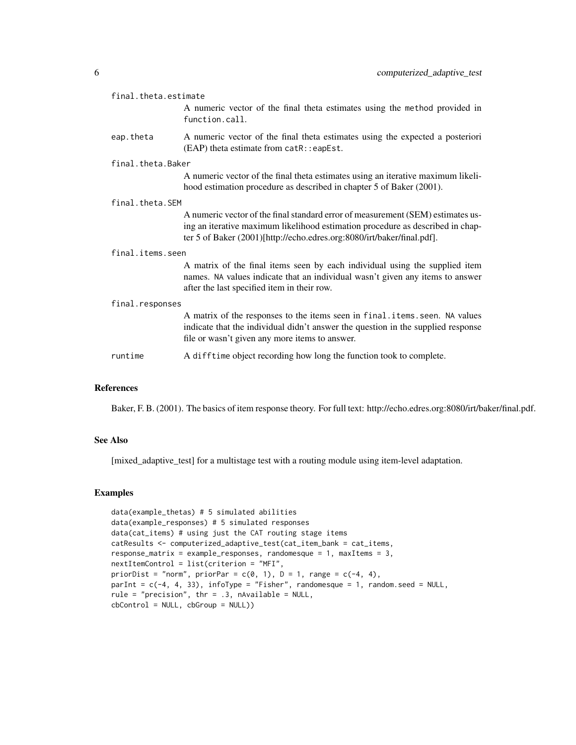| final.theta.estimate |                                                                                                                                                                                                                                             |  |
|----------------------|---------------------------------------------------------------------------------------------------------------------------------------------------------------------------------------------------------------------------------------------|--|
|                      | A numeric vector of the final theta estimates using the method provided in<br>function.call.                                                                                                                                                |  |
| eap.theta            | A numeric vector of the final theta estimates using the expected a posteriori<br>(EAP) theta estimate from catR::eapEst.                                                                                                                    |  |
| final.theta.Baker    |                                                                                                                                                                                                                                             |  |
|                      | A numeric vector of the final theta estimates using an iterative maximum likeli-<br>hood estimation procedure as described in chapter 5 of Baker (2001).                                                                                    |  |
| final.theta.SEM      |                                                                                                                                                                                                                                             |  |
|                      | A numeric vector of the final standard error of measurement (SEM) estimates us-<br>ing an iterative maximum likelihood estimation procedure as described in chap-<br>ter 5 of Baker (2001)[http://echo.edres.org:8080/irt/baker/final.pdf]. |  |
| final.items.seen     |                                                                                                                                                                                                                                             |  |
|                      | A matrix of the final items seen by each individual using the supplied item<br>names. NA values indicate that an individual wasn't given any items to answer<br>after the last specified item in their row.                                 |  |
| final.responses      |                                                                                                                                                                                                                                             |  |
|                      | A matrix of the responses to the items seen in final.items.seen. NA values<br>indicate that the individual didn't answer the question in the supplied response<br>file or wasn't given any more items to answer.                            |  |
| runtime              | A difftime object recording how long the function took to complete.                                                                                                                                                                         |  |

## References

Baker, F. B. (2001). The basics of item response theory. For full text: http://echo.edres.org:8080/irt/baker/final.pdf.

## See Also

[mixed\_adaptive\_test] for a multistage test with a routing module using item-level adaptation.

## Examples

```
data(example_thetas) # 5 simulated abilities
data(example_responses) # 5 simulated responses
data(cat_items) # using just the CAT routing stage items
catResults <- computerized_adaptive_test(cat_item_bank = cat_items,
response_matrix = example_responses, randomesque = 1, maxItems = 3,
nextItemControl = list(criterion = "MFI",
priorDist = "norm", priorPar = c(0, 1), D = 1, range = c(-4, 4),
parInt = c(-4, 4, 33), infoType = "Fisher", randomesque = 1, random.seed = NULL,
rule = "precision", thr = .3, nAvailable = NULL,
cbControl = NULL, cbGroup = NULL))
```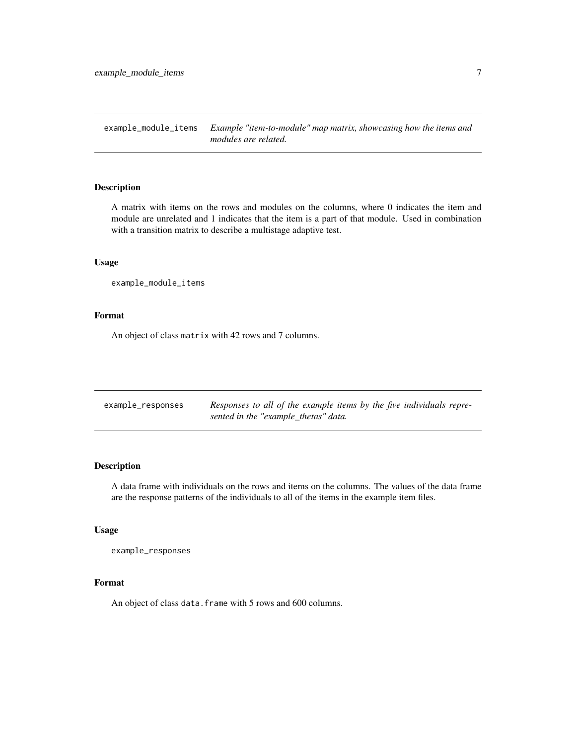<span id="page-6-0"></span>example\_module\_items *Example "item-to-module" map matrix, showcasing how the items and modules are related.*

## Description

A matrix with items on the rows and modules on the columns, where 0 indicates the item and module are unrelated and 1 indicates that the item is a part of that module. Used in combination with a transition matrix to describe a multistage adaptive test.

## Usage

example\_module\_items

## Format

An object of class matrix with 42 rows and 7 columns.

| example_responses | Responses to all of the example items by the five individuals repre- |
|-------------------|----------------------------------------------------------------------|
|                   | sented in the "example_thetas" data.                                 |

## Description

A data frame with individuals on the rows and items on the columns. The values of the data frame are the response patterns of the individuals to all of the items in the example item files.

#### Usage

example\_responses

#### Format

An object of class data. frame with 5 rows and 600 columns.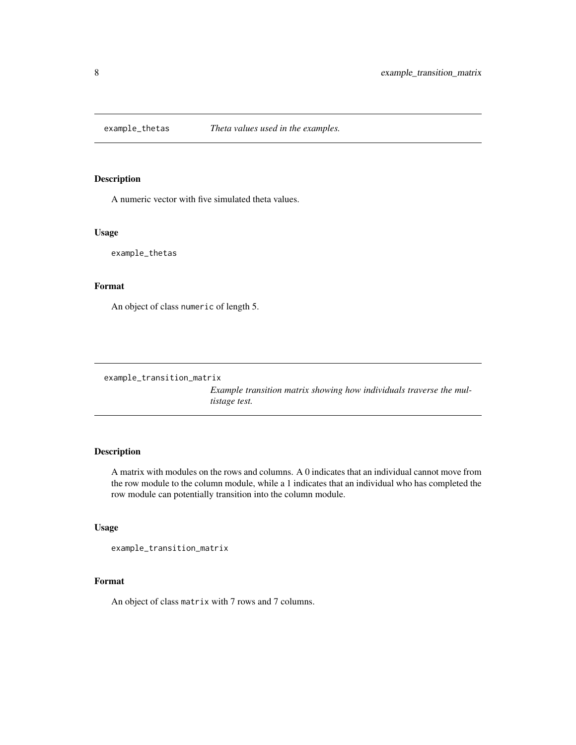<span id="page-7-0"></span>

A numeric vector with five simulated theta values.

#### Usage

example\_thetas

## Format

An object of class numeric of length 5.

example\_transition\_matrix

*Example transition matrix showing how individuals traverse the multistage test.*

#### Description

A matrix with modules on the rows and columns. A 0 indicates that an individual cannot move from the row module to the column module, while a 1 indicates that an individual who has completed the row module can potentially transition into the column module.

## Usage

```
example_transition_matrix
```
## Format

An object of class matrix with 7 rows and 7 columns.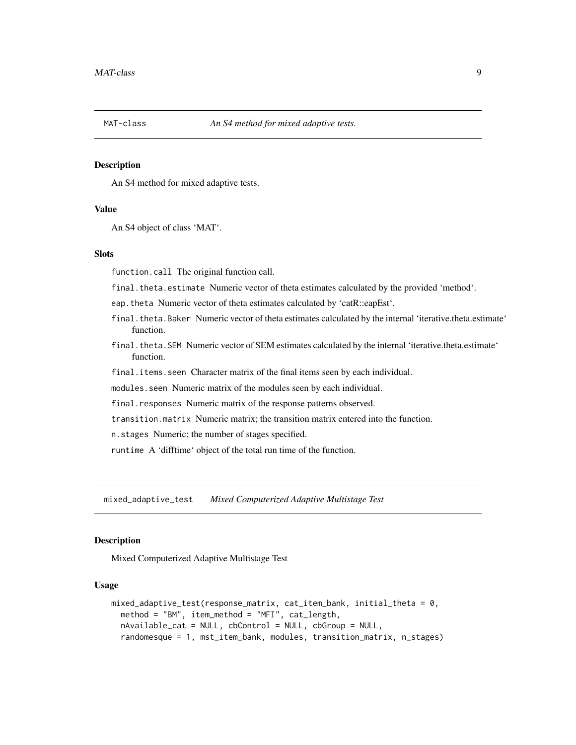<span id="page-8-0"></span>

An S4 method for mixed adaptive tests.

#### Value

An S4 object of class 'MAT'.

## **Slots**

function.call The original function call.

final.theta.estimate Numeric vector of theta estimates calculated by the provided 'method'.

eap.theta Numeric vector of theta estimates calculated by 'catR::eapEst'.

- final.theta.Baker Numeric vector of theta estimates calculated by the internal 'iterative.theta.estimate' function.
- final.theta.SEM Numeric vector of SEM estimates calculated by the internal 'iterative.theta.estimate' function.
- final.items.seen Character matrix of the final items seen by each individual.

modules.seen Numeric matrix of the modules seen by each individual.

final.responses Numeric matrix of the response patterns observed.

transition.matrix Numeric matrix; the transition matrix entered into the function.

n.stages Numeric; the number of stages specified.

runtime A 'difftime' object of the total run time of the function.

mixed\_adaptive\_test *Mixed Computerized Adaptive Multistage Test*

#### Description

Mixed Computerized Adaptive Multistage Test

#### Usage

```
mixed_adaptive_test(response_matrix, cat_item_bank, initial_theta = 0,
 method = "BM", item_method = "MFI", cat_length,
 nAvailable_cat = NULL, cbControl = NULL, cbGroup = NULL,
  randomesque = 1, mst_item_bank, modules, transition_matrix, n_stages)
```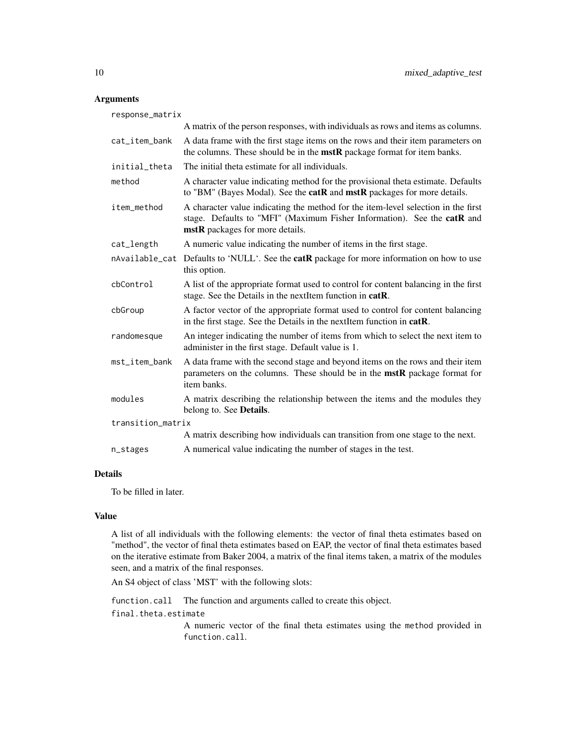## Arguments

| response_matrix   |                                                                                                                                                                                                 |
|-------------------|-------------------------------------------------------------------------------------------------------------------------------------------------------------------------------------------------|
|                   | A matrix of the person responses, with individuals as rows and items as columns.                                                                                                                |
| cat_item_bank     | A data frame with the first stage items on the rows and their item parameters on<br>the columns. These should be in the <b>mstR</b> package format for item banks.                              |
| initial_theta     | The initial theta estimate for all individuals.                                                                                                                                                 |
| method            | A character value indicating method for the provisional theta estimate. Defaults<br>to "BM" (Bayes Modal). See the catR and mstR packages for more details.                                     |
| item_method       | A character value indicating the method for the item-level selection in the first<br>stage. Defaults to "MFI" (Maximum Fisher Information). See the catR and<br>mstR packages for more details. |
| cat_length        | A numeric value indicating the number of items in the first stage.                                                                                                                              |
|                   | nAvailable_cat Defaults to 'NULL'. See the <b>catR</b> package for more information on how to use<br>this option.                                                                               |
| cbControl         | A list of the appropriate format used to control for content balancing in the first<br>stage. See the Details in the nextItem function in catR.                                                 |
| cbGroup           | A factor vector of the appropriate format used to control for content balancing<br>in the first stage. See the Details in the nextItem function in catR.                                        |
| randomesque       | An integer indicating the number of items from which to select the next item to<br>administer in the first stage. Default value is 1.                                                           |
| mst_item_bank     | A data frame with the second stage and beyond items on the rows and their item<br>parameters on the columns. These should be in the mstR package format for<br>item banks.                      |
| modules           | A matrix describing the relationship between the items and the modules they<br>belong to. See Details.                                                                                          |
| transition_matrix |                                                                                                                                                                                                 |
|                   | A matrix describing how individuals can transition from one stage to the next.                                                                                                                  |
| n_stages          | A numerical value indicating the number of stages in the test.                                                                                                                                  |

## Details

To be filled in later.

#### Value

A list of all individuals with the following elements: the vector of final theta estimates based on "method", the vector of final theta estimates based on EAP, the vector of final theta estimates based on the iterative estimate from Baker 2004, a matrix of the final items taken, a matrix of the modules seen, and a matrix of the final responses.

An S4 object of class 'MST' with the following slots:

function.call The function and arguments called to create this object.

final.theta.estimate

A numeric vector of the final theta estimates using the method provided in function.call.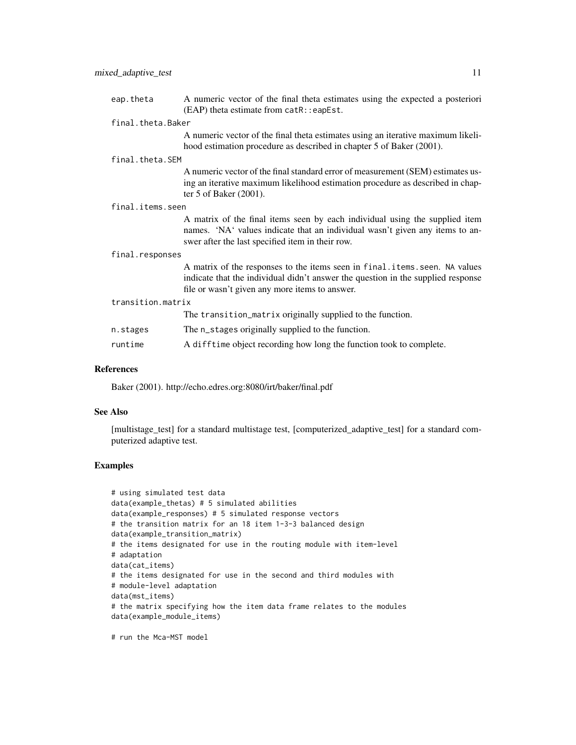| eap.theta         | A numeric vector of the final theta estimates using the expected a posteriori<br>$(EAP)$ theta estimate from $catR$ : : eapEst.                                                                |
|-------------------|------------------------------------------------------------------------------------------------------------------------------------------------------------------------------------------------|
| final.theta.Baker |                                                                                                                                                                                                |
|                   | A numeric vector of the final theta estimates using an iterative maximum likeli-<br>hood estimation procedure as described in chapter 5 of Baker (2001).                                       |
| final.theta.SEM   |                                                                                                                                                                                                |
|                   | A numeric vector of the final standard error of measurement (SEM) estimates us-<br>ing an iterative maximum likelihood estimation procedure as described in chap-<br>ter 5 of Baker $(2001)$ . |
| final.items.seen  |                                                                                                                                                                                                |
|                   | A matrix of the final items seen by each individual using the supplied item                                                                                                                    |

## A matrix of the final items seen by each individual using the supplied item names. 'NA' values indicate that an individual wasn't given any items to answer after the last specified item in their row.

#### final.responses

A matrix of the responses to the items seen in final.items.seen. NA values indicate that the individual didn't answer the question in the supplied response file or wasn't given any more items to answer.

transition.matrix

|          | The transition_matrix originally supplied to the function.          |
|----------|---------------------------------------------------------------------|
| n.stages | The n_stages originally supplied to the function.                   |
| runtime  | A difftime object recording how long the function took to complete. |

#### References

Baker (2001). http://echo.edres.org:8080/irt/baker/final.pdf

#### See Also

[multistage\_test] for a standard multistage test, [computerized\_adaptive\_test] for a standard computerized adaptive test.

## Examples

```
# using simulated test data
data(example_thetas) # 5 simulated abilities
data(example_responses) # 5 simulated response vectors
# the transition matrix for an 18 item 1-3-3 balanced design
data(example_transition_matrix)
# the items designated for use in the routing module with item-level
# adaptation
data(cat_items)
# the items designated for use in the second and third modules with
# module-level adaptation
data(mst_items)
# the matrix specifying how the item data frame relates to the modules
data(example_module_items)
```
# run the Mca-MST model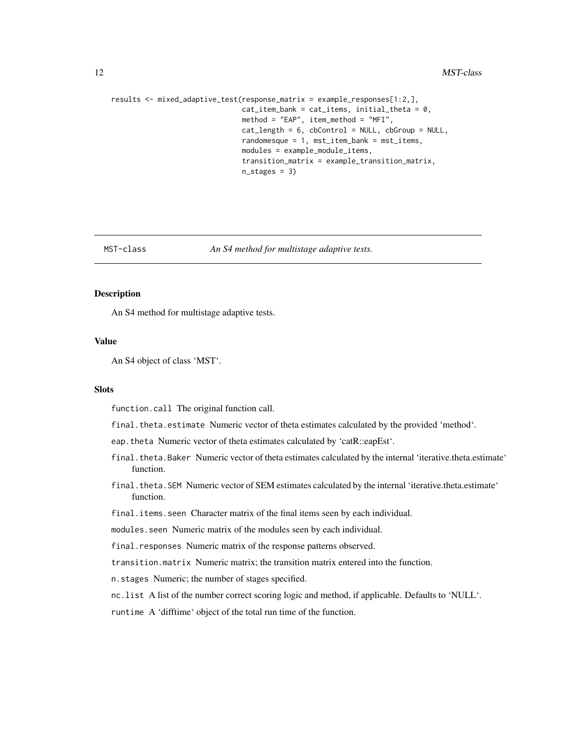```
results <- mixed_adaptive_test(response_matrix = example_responses[1:2,],
                               cat\_item\_bank = cat\_items, initial\_theta = 0,method = "EAP", item_method = "MFI",
                               cat_length = 6, cbControl = NULL, cbGroup = NULL,
                               randomesque = 1, mst_item_bank = mst_items,
                               modules = example_module_items,
                               transition_matrix = example_transition_matrix,
                               n_stages = 3)
```
## MST-class *An S4 method for multistage adaptive tests.*

## Description

An S4 method for multistage adaptive tests.

## Value

An S4 object of class 'MST'.

#### **Slots**

function.call The original function call.

final.theta.estimate Numeric vector of theta estimates calculated by the provided 'method'.

- eap.theta Numeric vector of theta estimates calculated by 'catR::eapEst'.
- final.theta.Baker Numeric vector of theta estimates calculated by the internal 'iterative.theta.estimate' function.
- final.theta.SEM Numeric vector of SEM estimates calculated by the internal 'iterative.theta.estimate' function.
- final.items.seen Character matrix of the final items seen by each individual.

modules.seen Numeric matrix of the modules seen by each individual.

final.responses Numeric matrix of the response patterns observed.

transition.matrix Numeric matrix; the transition matrix entered into the function.

n.stages Numeric; the number of stages specified.

nc.list A list of the number correct scoring logic and method, if applicable. Defaults to 'NULL'.

runtime A 'difftime' object of the total run time of the function.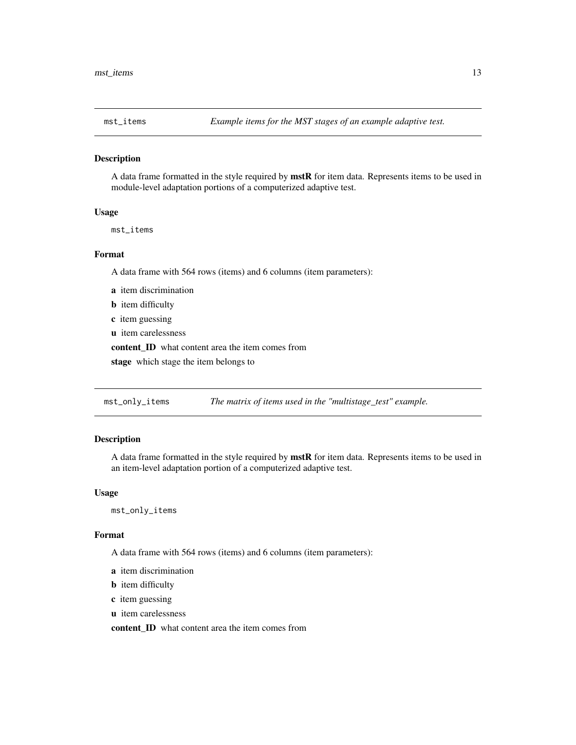<span id="page-12-0"></span>

A data frame formatted in the style required by mstR for item data. Represents items to be used in module-level adaptation portions of a computerized adaptive test.

## Usage

mst\_items

## Format

A data frame with 564 rows (items) and 6 columns (item parameters):

- a item discrimination
- **b** item difficulty
- c item guessing
- u item carelessness

content ID what content area the item comes from

stage which stage the item belongs to

mst\_only\_items *The matrix of items used in the "multistage\_test" example.*

## Description

A data frame formatted in the style required by mstR for item data. Represents items to be used in an item-level adaptation portion of a computerized adaptive test.

#### Usage

mst\_only\_items

#### Format

A data frame with 564 rows (items) and 6 columns (item parameters):

- a item discrimination
- **b** item difficulty
- c item guessing
- u item carelessness

content ID what content area the item comes from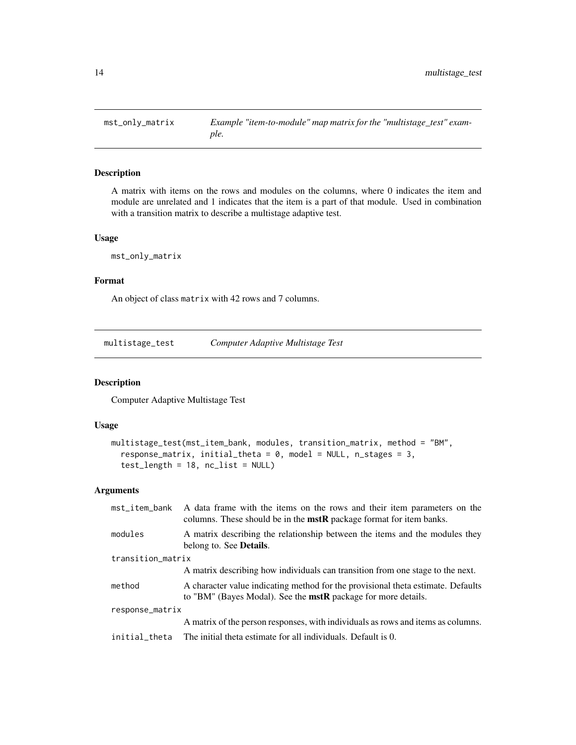<span id="page-13-0"></span>

A matrix with items on the rows and modules on the columns, where 0 indicates the item and module are unrelated and 1 indicates that the item is a part of that module. Used in combination with a transition matrix to describe a multistage adaptive test.

## Usage

mst\_only\_matrix

#### Format

An object of class matrix with 42 rows and 7 columns.

multistage\_test *Computer Adaptive Multistage Test*

#### Description

Computer Adaptive Multistage Test

## Usage

```
multistage_test(mst_item_bank, modules, transition_matrix, method = "BM",
  response_matrix, initial_theta = 0, model = NULL, n_stages = 3,
  test_length = 18, nc_list = NULL)
```
#### Arguments

| mst_item_bank     | A data frame with the items on the rows and their item parameters on the<br>columns. These should be in the $mstR$ package format for item banks.        |
|-------------------|----------------------------------------------------------------------------------------------------------------------------------------------------------|
| modules           | A matrix describing the relationship between the items and the modules they<br>belong to. See <b>Details</b> .                                           |
| transition_matrix |                                                                                                                                                          |
|                   | A matrix describing how individuals can transition from one stage to the next.                                                                           |
| method            | A character value indicating method for the provisional theta estimate. Defaults<br>to "BM" (Bayes Modal). See the <b>mstR</b> package for more details. |
| response_matrix   |                                                                                                                                                          |
|                   | A matrix of the person responses, with individuals as rows and items as columns.                                                                         |
| initial_theta     | The initial theta estimate for all individuals. Default is 0.                                                                                            |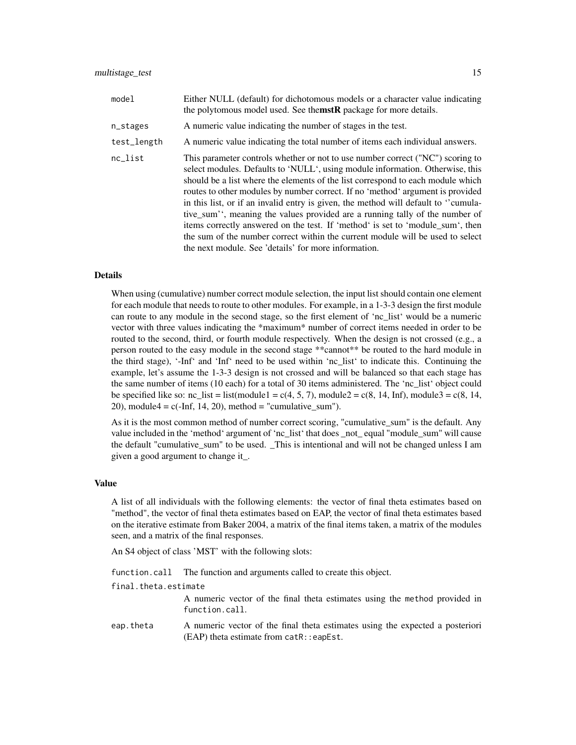| model       | Either NULL (default) for dichotomous models or a character value indicating<br>the polytomous model used. See themstR package for more details.                                                                                                                                                                                                                                                                                                                                                                                                                                                                                                                                                                                       |
|-------------|----------------------------------------------------------------------------------------------------------------------------------------------------------------------------------------------------------------------------------------------------------------------------------------------------------------------------------------------------------------------------------------------------------------------------------------------------------------------------------------------------------------------------------------------------------------------------------------------------------------------------------------------------------------------------------------------------------------------------------------|
| n_stages    | A numeric value indicating the number of stages in the test.                                                                                                                                                                                                                                                                                                                                                                                                                                                                                                                                                                                                                                                                           |
| test_length | A numeric value indicating the total number of items each individual answers.                                                                                                                                                                                                                                                                                                                                                                                                                                                                                                                                                                                                                                                          |
| nc_list     | This parameter controls whether or not to use number correct ("NC") scoring to<br>select modules. Defaults to 'NULL', using module information. Otherwise, this<br>should be a list where the elements of the list correspond to each module which<br>routes to other modules by number correct. If no 'method' argument is provided<br>in this list, or if an invalid entry is given, the method will default to "cumula-<br>tive_sum'', meaning the values provided are a running tally of the number of<br>items correctly answered on the test. If 'method' is set to 'module sum', then<br>the sum of the number correct within the current module will be used to select<br>the next module. See 'details' for more information. |

#### Details

When using (cumulative) number correct module selection, the input list should contain one element for each module that needs to route to other modules. For example, in a 1-3-3 design the first module can route to any module in the second stage, so the first element of 'nc\_list' would be a numeric vector with three values indicating the \*maximum\* number of correct items needed in order to be routed to the second, third, or fourth module respectively. When the design is not crossed (e.g., a person routed to the easy module in the second stage \*\*cannot\*\* be routed to the hard module in the third stage), '-Inf' and 'Inf' need to be used within 'nc\_list' to indicate this. Continuing the example, let's assume the 1-3-3 design is not crossed and will be balanced so that each stage has the same number of items (10 each) for a total of 30 items administered. The 'nc\_list' object could be specified like so: nc list = list(module1 = c(4, 5, 7), module2 = c(8, 14, Inf), module3 = c(8, 14, 20), module4 =  $c(-Inf, 14, 20)$ , method = "cumulative\_sum").

As it is the most common method of number correct scoring, "cumulative\_sum" is the default. Any value included in the 'method' argument of 'nc\_list' that does \_not\_ equal "module\_sum" will cause the default "cumulative\_sum" to be used. \_This is intentional and will not be changed unless I am given a good argument to change it\_.

#### Value

A list of all individuals with the following elements: the vector of final theta estimates based on "method", the vector of final theta estimates based on EAP, the vector of final theta estimates based on the iterative estimate from Baker 2004, a matrix of the final items taken, a matrix of the modules seen, and a matrix of the final responses.

An S4 object of class 'MST' with the following slots:

function.call The function and arguments called to create this object.

final.theta.estimate

A numeric vector of the final theta estimates using the method provided in function.call.

eap.theta A numeric vector of the final theta estimates using the expected a posteriori (EAP) theta estimate from catR::eapEst.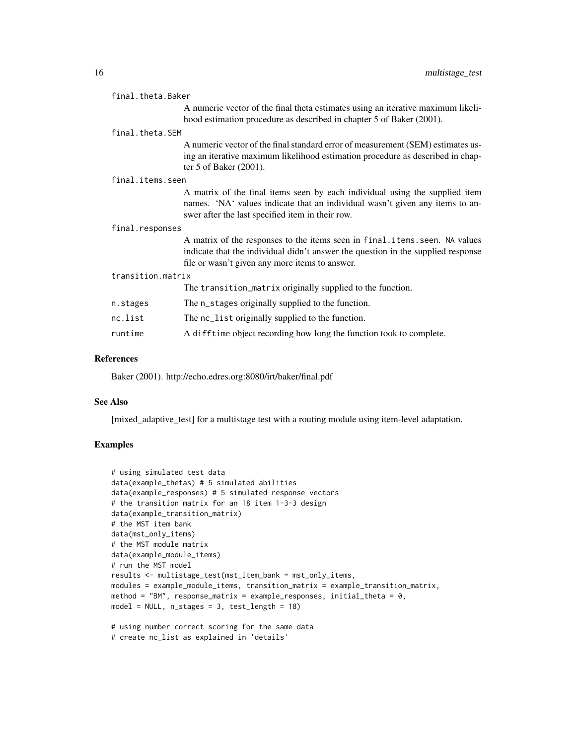|                   | final.theta.Baker |                                                                                                                                                                                                                  |  |
|-------------------|-------------------|------------------------------------------------------------------------------------------------------------------------------------------------------------------------------------------------------------------|--|
|                   |                   | A numeric vector of the final theta estimates using an iterative maximum likeli-<br>hood estimation procedure as described in chapter 5 of Baker (2001).                                                         |  |
|                   | final.theta.SEM   |                                                                                                                                                                                                                  |  |
|                   |                   | A numeric vector of the final standard error of measurement (SEM) estimates us-<br>ing an iterative maximum likelihood estimation procedure as described in chap-<br>ter 5 of Baker $(2001)$ .                   |  |
|                   | final.items.seen  |                                                                                                                                                                                                                  |  |
|                   |                   | A matrix of the final items seen by each individual using the supplied item<br>names. 'NA' values indicate that an individual wasn't given any items to an-<br>swer after the last specified item in their row.  |  |
|                   | final.responses   |                                                                                                                                                                                                                  |  |
|                   |                   | A matrix of the responses to the items seen in final items seen. NA values<br>indicate that the individual didn't answer the question in the supplied response<br>file or wasn't given any more items to answer. |  |
| transition.matrix |                   |                                                                                                                                                                                                                  |  |
|                   |                   | The transition_matrix originally supplied to the function.                                                                                                                                                       |  |
|                   | n.stages          | The n_stages originally supplied to the function.                                                                                                                                                                |  |
|                   | nc.list           | The nc_list originally supplied to the function.                                                                                                                                                                 |  |
|                   | runtime           | A difftime object recording how long the function took to complete.                                                                                                                                              |  |

#### References

Baker (2001). http://echo.edres.org:8080/irt/baker/final.pdf

#### See Also

[mixed\_adaptive\_test] for a multistage test with a routing module using item-level adaptation.

## Examples

```
# using simulated test data
data(example_thetas) # 5 simulated abilities
data(example_responses) # 5 simulated response vectors
# the transition matrix for an 18 item 1-3-3 design
data(example_transition_matrix)
# the MST item bank
data(mst_only_items)
# the MST module matrix
data(example_module_items)
# run the MST model
results <- multistage_test(mst_item_bank = mst_only_items,
modules = example_module_items, transition_matrix = example_transition_matrix,
method = "BM", response_matrix = example_responses, initial_theta = 0,
model = NULL, n_{stages} = 3, test_{length} = 18)# using number correct scoring for the same data
# create nc_list as explained in 'details'
```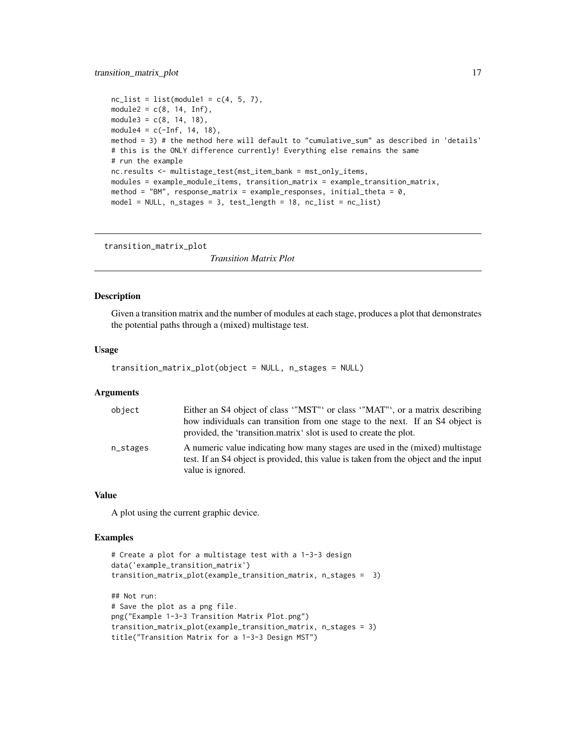## <span id="page-16-0"></span>transition\_matrix\_plot 17

```
nc_list = list(module1 = c(4, 5, 7),module2 = c(8, 14, Inf),
module3 = c(8, 14, 18),module4 = c(-Inf, 14, 18),method = 3) # the method here will default to "cumulative_sum" as described in 'details'
# this is the ONLY difference currently! Everything else remains the same
# run the example
nc.results <- multistage_test(mst_item_bank = mst_only_items,
modules = example_module_items, transition_matrix = example_transition_matrix,
method = "BM", response_matrix = example_responses, initial_theta = 0,
model = NULL, n_stages = 3, test_length = 18, nc_list = nc_list)
```
transition\_matrix\_plot

*Transition Matrix Plot*

#### Description

Given a transition matrix and the number of modules at each stage, produces a plot that demonstrates the potential paths through a (mixed) multistage test.

#### Usage

```
transition_matrix_plot(object = NULL, n_stages = NULL)
```
## Arguments

| object   | Either an S4 object of class "MST" or class "MAT", or a matrix describing<br>how individuals can transition from one stage to the next. If an S4 object is<br>provided, the 'transition.matrix' slot is used to create the plot. |
|----------|----------------------------------------------------------------------------------------------------------------------------------------------------------------------------------------------------------------------------------|
| n_stages | A numeric value indicating how many stages are used in the (mixed) multistage<br>test. If an S4 object is provided, this value is taken from the object and the input<br>value is ignored.                                       |

#### Value

A plot using the current graphic device.

#### Examples

```
# Create a plot for a multistage test with a 1-3-3 design
data('example_transition_matrix')
transition_matrix_plot(example_transition_matrix, n_stages = 3)
## Not run:
# Save the plot as a png file.
png("Example 1-3-3 Transition Matrix Plot.png")
transition_matrix_plot(example_transition_matrix, n_stages = 3)
title("Transition Matrix for a 1-3-3 Design MST")
```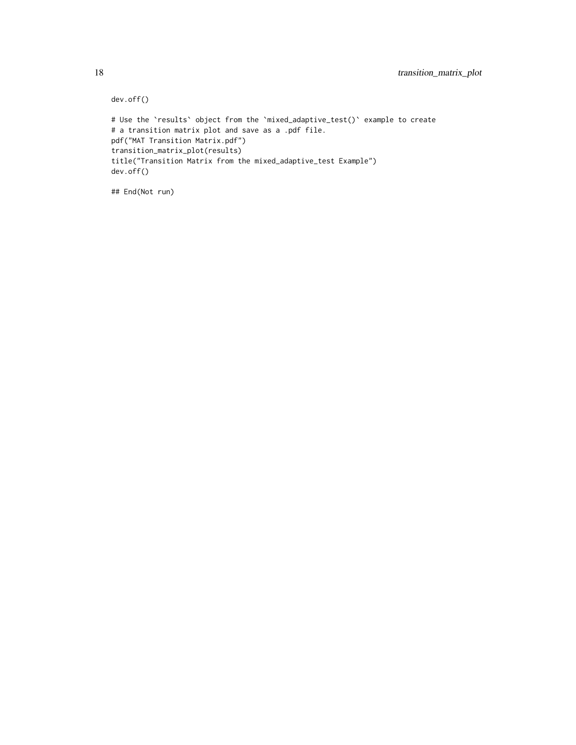```
dev.off()
# Use the `results` object from the `mixed_adaptive_test()` example to create
# a transition matrix plot and save as a .pdf file.
pdf("MAT Transition Matrix.pdf")
transition_matrix_plot(results)
title("Transition Matrix from the mixed_adaptive_test Example")
dev.off()
```
## End(Not run)